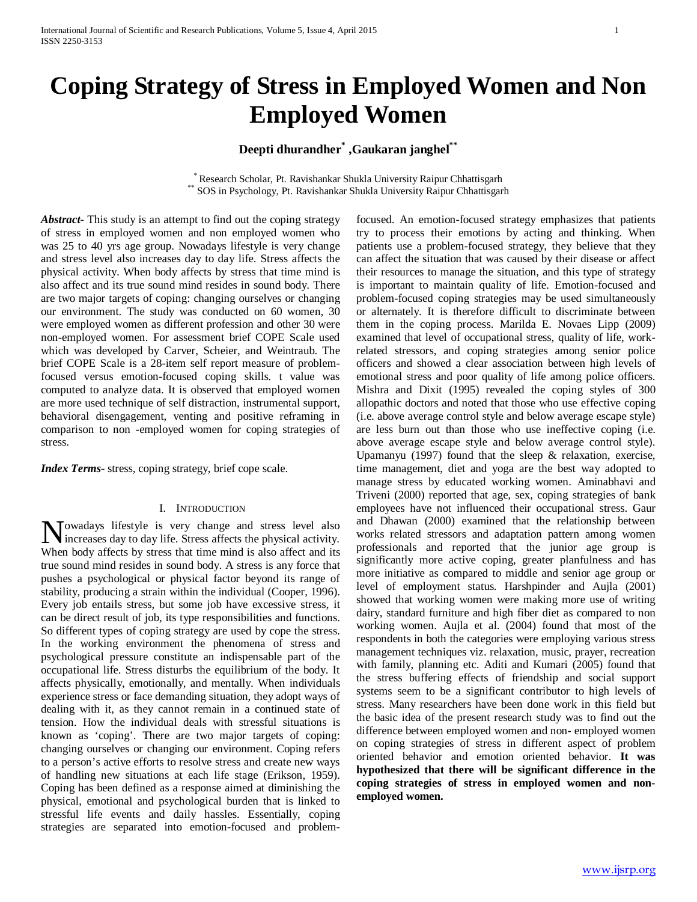# **Coping Strategy of Stress in Employed Women and Non Employed Women**

**Deepti dhurandher\* ,Gaukaran janghel\*\***

\* Research Scholar, Pt. Ravishankar Shukla University Raipur Chhattisgarh \*\* SOS in Psychology, Pt. Ravishankar Shukla University Raipur Chhattisgarh

*Abstract***-** This study is an attempt to find out the coping strategy of stress in employed women and non employed women who was 25 to 40 yrs age group. Nowadays lifestyle is very change and stress level also increases day to day life. Stress affects the physical activity. When body affects by stress that time mind is also affect and its true sound mind resides in sound body. There are two major targets of coping: changing ourselves or changing our environment. The study was conducted on 60 women, 30 were employed women as different profession and other 30 were non-employed women. For assessment brief COPE Scale used which was developed by Carver, Scheier, and Weintraub. The brief COPE Scale is a 28-item self report measure of problemfocused versus emotion-focused coping skills. t value was computed to analyze data. It is observed that employed women are more used technique of self distraction, instrumental support, behavioral disengagement, venting and positive reframing in comparison to non -employed women for coping strategies of stress.

*Index Terms*- stress, coping strategy, brief cope scale.

## I. INTRODUCTION

Nowadays lifestyle is very change and stress level also increases day to day life. Stress affects the physical activity. increases day to day life. Stress affects the physical activity. When body affects by stress that time mind is also affect and its true sound mind resides in sound body. A stress is any force that pushes a psychological or physical factor beyond its range of stability, producing a strain within the individual (Cooper, 1996). Every job entails stress, but some job have excessive stress, it can be direct result of job, its type responsibilities and functions. So different types of coping strategy are used by cope the stress. In the working environment the phenomena of stress and psychological pressure constitute an indispensable part of the occupational life. Stress disturbs the equilibrium of the body. It affects physically, emotionally, and mentally. When individuals experience stress or face demanding situation, they adopt ways of dealing with it, as they cannot remain in a continued state of tension. How the individual deals with stressful situations is known as 'coping'. There are two major targets of coping: changing ourselves or changing our environment. Coping refers to a person's active efforts to resolve stress and create new ways of handling new situations at each life stage (Erikson, 1959). Coping has been defined as a response aimed at diminishing the physical, emotional and psychological burden that is linked to stressful life events and daily hassles. Essentially, coping strategies are separated into emotion-focused and problemfocused. An emotion-focused strategy emphasizes that patients try to process their emotions by acting and thinking. When patients use a problem-focused strategy, they believe that they can affect the situation that was caused by their disease or affect their resources to manage the situation, and this type of strategy is important to maintain quality of life. Emotion-focused and problem-focused coping strategies may be used simultaneously or alternately. It is therefore difficult to discriminate between them in the coping process. Marilda E. Novaes Lipp (2009) examined that level of occupational stress, quality of life, workrelated stressors, and coping strategies among senior police officers and showed a clear association between high levels of emotional stress and poor quality of life among police officers. Mishra and Dixit (1995) revealed the coping styles of 300 allopathic doctors and noted that those who use effective coping (i.e. above average control style and below average escape style) are less burn out than those who use ineffective coping (i.e. above average escape style and below average control style). Upamanyu (1997) found that the sleep & relaxation, exercise, time management, diet and yoga are the best way adopted to manage stress by educated working women. Aminabhavi and Triveni (2000) reported that age, sex, coping strategies of bank employees have not influenced their occupational stress. Gaur and Dhawan (2000) examined that the relationship between works related stressors and adaptation pattern among women professionals and reported that the junior age group is significantly more active coping, greater planfulness and has more initiative as compared to middle and senior age group or level of employment status. Harshpinder and Aujla (2001) showed that working women were making more use of writing dairy, standard furniture and high fiber diet as compared to non working women. Aujla et al. (2004) found that most of the respondents in both the categories were employing various stress management techniques viz. relaxation, music, prayer, recreation with family, planning etc. Aditi and Kumari (2005) found that the stress buffering effects of friendship and social support systems seem to be a significant contributor to high levels of stress. Many researchers have been done work in this field but the basic idea of the present research study was to find out the difference between employed women and non- employed women on coping strategies of stress in different aspect of problem oriented behavior and emotion oriented behavior. **It was hypothesized that there will be significant difference in the coping strategies of stress in employed women and nonemployed women.**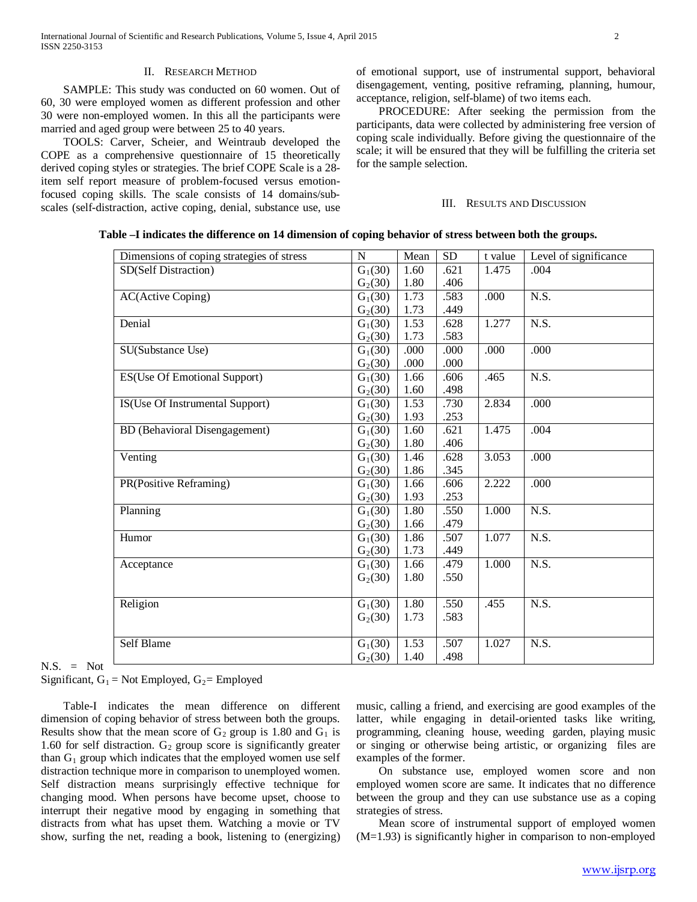## II. RESEARCH METHOD

 SAMPLE: This study was conducted on 60 women. Out of 60, 30 were employed women as different profession and other 30 were non-employed women. In this all the participants were married and aged group were between 25 to 40 years.

 TOOLS: Carver, Scheier, and Weintraub developed the COPE as a comprehensive questionnaire of 15 theoretically derived coping styles or strategies. The brief COPE Scale is a 28 item self report measure of problem-focused versus emotionfocused coping skills. The scale consists of 14 domains/subscales (self-distraction, active coping, denial, substance use, use

of emotional support, use of instrumental support, behavioral disengagement, venting, positive reframing, planning, humour, acceptance, religion, self-blame) of two items each.

 PROCEDURE: After seeking the permission from the participants, data were collected by administering free version of coping scale individually. Before giving the questionnaire of the scale; it will be ensured that they will be fulfilling the criteria set for the sample selection.

### III. RESULTS AND DISCUSSION

| Table –I indicates the difference on 14 dimension of coping behavior of stress between both the groups. |  |
|---------------------------------------------------------------------------------------------------------|--|
|---------------------------------------------------------------------------------------------------------|--|

| Dimensions of coping strategies of stress | $\mathbf N$ | Mean | <b>SD</b> | t value | Level of significance |
|-------------------------------------------|-------------|------|-----------|---------|-----------------------|
| <b>SD(Self Distraction)</b>               | $G_1(30)$   | 1.60 | .621      | 1.475   | .004                  |
|                                           | $G_2(30)$   | 1.80 | .406      |         |                       |
| <b>AC(Active Coping)</b>                  | $G_1(30)$   | 1.73 | .583      | .000    | N.S.                  |
|                                           | $G_2(30)$   | 1.73 | .449      |         |                       |
| Denial                                    | $G_1(30)$   | 1.53 | .628      | 1.277   | N.S.                  |
|                                           | $G_2(30)$   | 1.73 | .583      |         |                       |
| SU(Substance Use)                         | $G_1(30)$   | .000 | .000      | .000    | .000                  |
|                                           | $G_2(30)$   | .000 | .000      |         |                       |
| ES(Use Of Emotional Support)              | $G_1(30)$   | 1.66 | .606      | .465    | N.S.                  |
|                                           | $G_2(30)$   | 1.60 | .498      |         |                       |
| IS(Use Of Instrumental Support)           | $G_1(30)$   | 1.53 | .730      | 2.834   | .000                  |
|                                           | $G_2(30)$   | 1.93 | .253      |         |                       |
| BD (Behavioral Disengagement)             | $G_1(30)$   | 1.60 | .621      | 1.475   | .004                  |
|                                           | $G_2(30)$   | 1.80 | .406      |         |                       |
| Venting                                   | $G_1(30)$   | 1.46 | .628      | 3.053   | .000                  |
|                                           | $G_2(30)$   | 1.86 | .345      |         |                       |
| PR(Positive Reframing)                    | $G_1(30)$   | 1.66 | .606      | 2.222   | .000                  |
|                                           | $G_2(30)$   | 1.93 | .253      |         |                       |
| Planning                                  | $G_1(30)$   | 1.80 | .550      | 1.000   | N.S.                  |
|                                           | $G_2(30)$   | 1.66 | .479      |         |                       |
| Humor                                     | $G_1(30)$   | 1.86 | .507      | 1.077   | N.S.                  |
|                                           | $G_2(30)$   | 1.73 | .449      |         |                       |
| Acceptance                                | $G_1(30)$   | 1.66 | .479      | 1.000   | N.S.                  |
|                                           | $G_2(30)$   | 1.80 | .550      |         |                       |
|                                           |             |      |           |         |                       |
| Religion                                  | $G_1(30)$   | 1.80 | .550      | .455    | N.S.                  |
|                                           | $G_2(30)$   | 1.73 | .583      |         |                       |
|                                           |             |      |           |         |                       |
| Self Blame                                | $G_1(30)$   | 1.53 | .507      | 1.027   | N.S.                  |
|                                           | $G_2(30)$   | 1.40 | .498      |         |                       |

 $N.S. = Not$ 

Significant,  $G_1$  = Not Employed,  $G_2$  = Employed

 Table-I indicates the mean difference on different dimension of coping behavior of stress between both the groups. Results show that the mean score of  $G_2$  group is 1.80 and  $G_1$  is 1.60 for self distraction.  $G_2$  group score is significantly greater than  $G_1$  group which indicates that the employed women use self distraction technique more in comparison to unemployed women. Self distraction means surprisingly effective technique for changing mood. When persons have become upset, choose to interrupt their negative mood by engaging in something that distracts from what has upset them. Watching a movie or TV show, surfing the net, reading a book, listening to (energizing) music, calling a friend, and exercising are good examples of the latter, while engaging in detail-oriented tasks like writing, programming, cleaning house, weeding garden, playing music or singing or otherwise being artistic, or organizing files are examples of the former.

 On substance use, employed women score and non employed women score are same. It indicates that no difference between the group and they can use substance use as a coping strategies of stress.

 Mean score of instrumental support of employed women (M=1.93) is significantly higher in comparison to non-employed